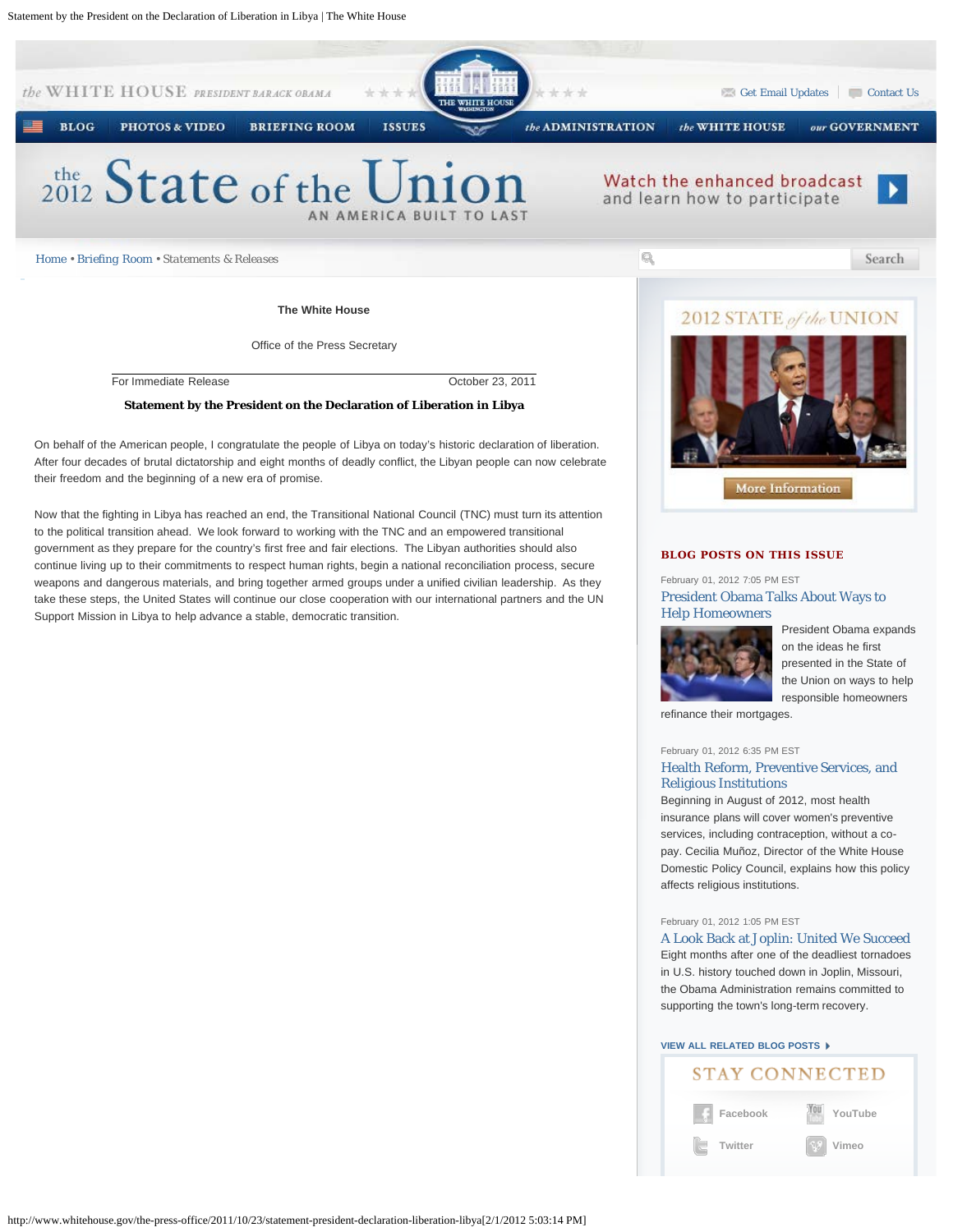

After four decades of brutal dictatorship and eight months of deadly conflict, the Libyan people can now celebrate their freedom and the beginning of a new era of promise.

Now that the fighting in Libya has reached an end, the Transitional National Council (TNC) must turn its attention to the political transition ahead. We look forward to working with the TNC and an empowered transitional government as they prepare for the country's first free and fair elections. The Libyan authorities should also continue living up to their commitments to respect human rights, begin a national reconciliation process, secure weapons and dangerous materials, and bring together armed groups under a unified civilian leadership. As they take these steps, the United States will continue our close cooperation with our international partners and the UN Support Mission in Libya to help advance a stable, democratic transition.

# **BLOG POSTS ON THIS ISSUE**

## February 01, 2012 7:05 PM EST [President Obama Talks About Ways to](http://www.whitehouse.gov/blog/2012/02/01/president-obama-talks-about-ways-help-homeowners) [Help Homeowners](http://www.whitehouse.gov/blog/2012/02/01/president-obama-talks-about-ways-help-homeowners)

More Information



President Obama expands on the ideas he first presented in the State of the Union on ways to help responsible homeowners

**[YouTube](http://www.youtube.com/whitehouse)**

**[Vimeo](http://www.vimeo.com/whitehouse)**

refinance their mortgages.

## February 01, 2012 6:35 PM EST [Health Reform, Preventive Services, and](http://www.whitehouse.gov/blog/2012/02/01/health-reform-preventive-services-and-religious-institutions) [Religious Institutions](http://www.whitehouse.gov/blog/2012/02/01/health-reform-preventive-services-and-religious-institutions)

Beginning in August of 2012, most health insurance plans will cover women's preventive services, including contraception, without a copay. Cecilia Muñoz, Director of the White House Domestic Policy Council, explains how this policy affects religious institutions.

#### February 01, 2012 1:05 PM EST

[A Look Back at Joplin: United We Succeed](http://www.whitehouse.gov/blog/2012/02/01/look-back-joplin-united-we-succeed) Eight months after one of the deadliest tornadoes in U.S. history touched down in Joplin, Missouri, the Obama Administration remains committed to

**STAY CONNECTED** 

#### **[VIEW ALL RELATED BLOG POSTS](http://www.whitehouse.gov/blog/issues/white-house)**

supporting the town's long-term recovery.

**[Facebook](http://www.facebook.com/whitehouse)**

**[Twitter](http://www.twitter.com/whitehouse)**